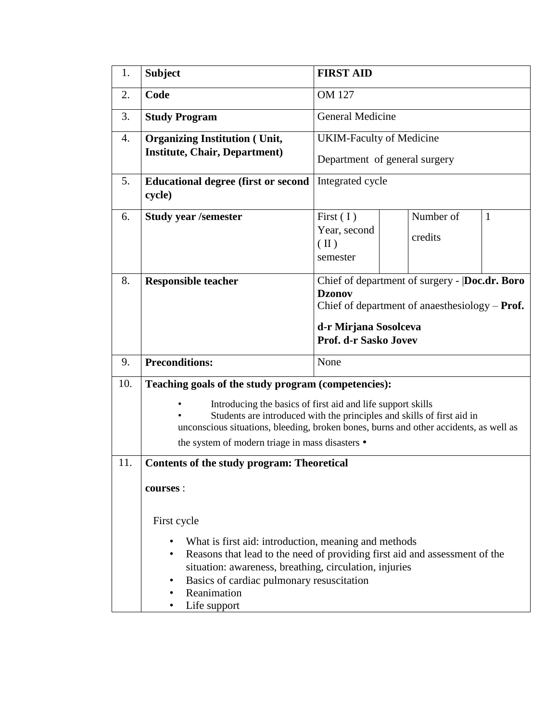| 1.  | <b>Subject</b>                                                                                                                                                                                                                                                                                                                           | <b>FIRST AID</b>                                                                                                                                                      |                      |   |  |  |  |
|-----|------------------------------------------------------------------------------------------------------------------------------------------------------------------------------------------------------------------------------------------------------------------------------------------------------------------------------------------|-----------------------------------------------------------------------------------------------------------------------------------------------------------------------|----------------------|---|--|--|--|
| 2.  | Code                                                                                                                                                                                                                                                                                                                                     | <b>OM 127</b>                                                                                                                                                         |                      |   |  |  |  |
| 3.  | <b>Study Program</b>                                                                                                                                                                                                                                                                                                                     | <b>General Medicine</b>                                                                                                                                               |                      |   |  |  |  |
| 4.  | <b>Organizing Institution (Unit,</b>                                                                                                                                                                                                                                                                                                     | <b>UKIM-Faculty of Medicine</b>                                                                                                                                       |                      |   |  |  |  |
|     | <b>Institute, Chair, Department)</b>                                                                                                                                                                                                                                                                                                     | Department of general surgery                                                                                                                                         |                      |   |  |  |  |
| 5.  | <b>Educational degree (first or second</b><br>cycle)                                                                                                                                                                                                                                                                                     | Integrated cycle                                                                                                                                                      |                      |   |  |  |  |
| 6.  | <b>Study year /semester</b>                                                                                                                                                                                                                                                                                                              | First $(1)$<br>Year, second<br>$(\Pi)$<br>semester                                                                                                                    | Number of<br>credits | 1 |  |  |  |
| 8.  | <b>Responsible teacher</b>                                                                                                                                                                                                                                                                                                               | Chief of department of surgery -  Doc.dr. Boro<br><b>Dzonov</b><br>Chief of department of anaesthesiology $-$ Prof.<br>d-r Mirjana Sosolceva<br>Prof. d-r Sasko Jovev |                      |   |  |  |  |
| 9.  | <b>Preconditions:</b>                                                                                                                                                                                                                                                                                                                    | None                                                                                                                                                                  |                      |   |  |  |  |
| 10. | Teaching goals of the study program (competencies):<br>Introducing the basics of first aid and life support skills<br>Students are introduced with the principles and skills of first aid in<br>unconscious situations, bleeding, broken bones, burns and other accidents, as well as<br>the system of modern triage in mass disasters • |                                                                                                                                                                       |                      |   |  |  |  |
| 11. | <b>Contents of the study program: Theoretical</b><br>courses :                                                                                                                                                                                                                                                                           |                                                                                                                                                                       |                      |   |  |  |  |
|     | First cycle                                                                                                                                                                                                                                                                                                                              |                                                                                                                                                                       |                      |   |  |  |  |
|     | What is first aid: introduction, meaning and methods<br>Reasons that lead to the need of providing first aid and assessment of the<br>situation: awareness, breathing, circulation, injuries<br>Basics of cardiac pulmonary resuscitation<br>Reanimation<br>Life support                                                                 |                                                                                                                                                                       |                      |   |  |  |  |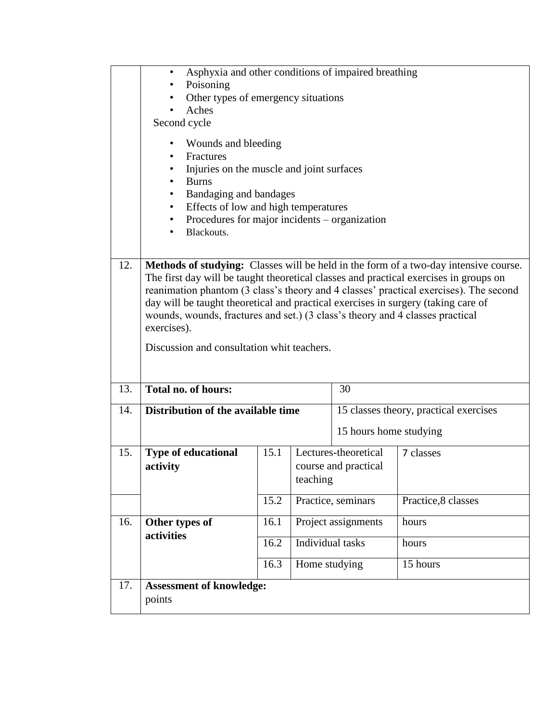|     | Asphyxia and other conditions of impaired breathing<br>$\bullet$<br>Poisoning<br>Other types of emergency situations<br>Aches                                                                                                                                                                                                                                                                                                                                                                             |      |                                                          |                                        |                     |  |  |  |
|-----|-----------------------------------------------------------------------------------------------------------------------------------------------------------------------------------------------------------------------------------------------------------------------------------------------------------------------------------------------------------------------------------------------------------------------------------------------------------------------------------------------------------|------|----------------------------------------------------------|----------------------------------------|---------------------|--|--|--|
|     | Second cycle<br>Wounds and bleeding<br>$\bullet$<br>Fractures<br>$\bullet$<br>Injuries on the muscle and joint surfaces<br><b>Burns</b><br>Bandaging and bandages<br>$\bullet$<br>Effects of low and high temperatures<br>٠<br>Procedures for major incidents – organization<br>$\bullet$<br>Blackouts.<br>٠                                                                                                                                                                                              |      |                                                          |                                        |                     |  |  |  |
| 12. | Methods of studying: Classes will be held in the form of a two-day intensive course.<br>The first day will be taught theoretical classes and practical exercises in groups on<br>reanimation phantom (3 class's theory and 4 classes' practical exercises). The second<br>day will be taught theoretical and practical exercises in surgery (taking care of<br>wounds, wounds, fractures and set.) (3 class's theory and 4 classes practical<br>exercises).<br>Discussion and consultation whit teachers. |      |                                                          |                                        |                     |  |  |  |
| 13. | <b>Total no. of hours:</b><br>30                                                                                                                                                                                                                                                                                                                                                                                                                                                                          |      |                                                          |                                        |                     |  |  |  |
| 14. | Distribution of the available time                                                                                                                                                                                                                                                                                                                                                                                                                                                                        |      |                                                          | 15 classes theory, practical exercises |                     |  |  |  |
|     |                                                                                                                                                                                                                                                                                                                                                                                                                                                                                                           |      |                                                          | 15 hours home studying                 |                     |  |  |  |
| 15. | <b>Type of educational</b><br>activity                                                                                                                                                                                                                                                                                                                                                                                                                                                                    | 15.1 | Lectures-theoretical<br>course and practical<br>teaching |                                        | 7 classes           |  |  |  |
|     |                                                                                                                                                                                                                                                                                                                                                                                                                                                                                                           | 15.2 |                                                          | Practice, seminars                     | Practice, 8 classes |  |  |  |
| 16. | Other types of                                                                                                                                                                                                                                                                                                                                                                                                                                                                                            | 16.1 |                                                          | Project assignments                    | hours               |  |  |  |
|     | activities                                                                                                                                                                                                                                                                                                                                                                                                                                                                                                | 16.2 | Individual tasks                                         |                                        | hours               |  |  |  |
|     |                                                                                                                                                                                                                                                                                                                                                                                                                                                                                                           | 16.3 | Home studying                                            |                                        | 15 hours            |  |  |  |
| 17. | <b>Assessment of knowledge:</b><br>points                                                                                                                                                                                                                                                                                                                                                                                                                                                                 |      |                                                          |                                        |                     |  |  |  |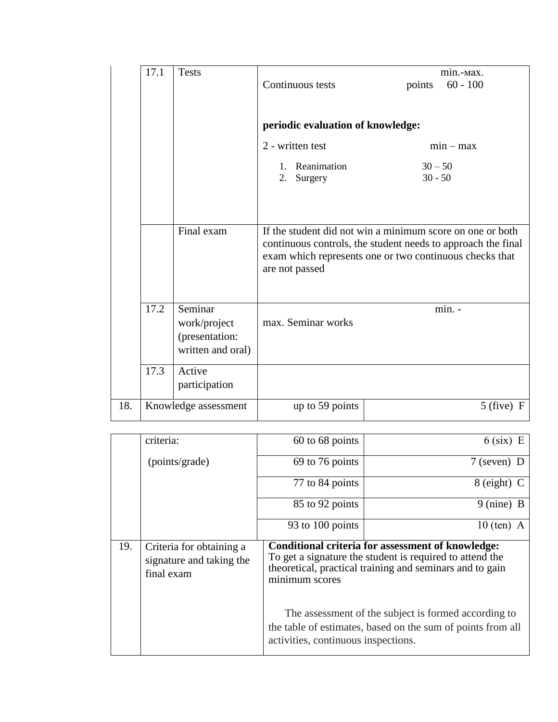|     | 17.1 |                      |                                                              |                                   |             |                                                           |  |
|-----|------|----------------------|--------------------------------------------------------------|-----------------------------------|-------------|-----------------------------------------------------------|--|
|     |      | <b>Tests</b>         |                                                              | Continuous tests                  |             | min.-Max.<br>$60 - 100$                                   |  |
|     |      |                      |                                                              |                                   | points      |                                                           |  |
|     |      |                      |                                                              |                                   |             |                                                           |  |
|     |      |                      |                                                              |                                   |             |                                                           |  |
|     |      |                      |                                                              | periodic evaluation of knowledge: |             |                                                           |  |
|     |      |                      |                                                              | 2 - written test                  | $min - max$ |                                                           |  |
|     |      |                      | $1_{-}$                                                      | Reanimation                       | $30 - 50$   |                                                           |  |
|     |      |                      | 2.                                                           | Surgery                           | $30 - 50$   |                                                           |  |
|     |      |                      |                                                              |                                   |             |                                                           |  |
|     |      |                      |                                                              |                                   |             |                                                           |  |
|     |      |                      |                                                              |                                   |             |                                                           |  |
|     |      | Final exam           |                                                              |                                   |             | If the student did not win a minimum score on one or both |  |
|     |      |                      | continuous controls, the student needs to approach the final |                                   |             |                                                           |  |
|     |      |                      | exam which represents one or two continuous checks that      |                                   |             |                                                           |  |
|     |      |                      |                                                              | are not passed                    |             |                                                           |  |
|     |      |                      |                                                              |                                   |             |                                                           |  |
|     |      |                      |                                                              |                                   |             |                                                           |  |
|     | 17.2 | Seminar              |                                                              |                                   |             | min. -                                                    |  |
|     |      | work/project         |                                                              | max. Seminar works                |             |                                                           |  |
|     |      | (presentation:       |                                                              |                                   |             |                                                           |  |
|     |      | written and oral)    |                                                              |                                   |             |                                                           |  |
|     | 17.3 | Active               |                                                              |                                   |             |                                                           |  |
|     |      |                      |                                                              |                                   |             |                                                           |  |
|     |      | participation        |                                                              |                                   |             |                                                           |  |
| 18. |      | Knowledge assessment |                                                              | up to 59 points                   |             | $5$ (five)<br>- F                                         |  |
|     |      |                      |                                                              |                                   |             |                                                           |  |

|     | criteria:                                                          | 60 to 68 points                                                                                                                                                                                                                                                                                                                                           | $6$ (six) E          |  |  |  |
|-----|--------------------------------------------------------------------|-----------------------------------------------------------------------------------------------------------------------------------------------------------------------------------------------------------------------------------------------------------------------------------------------------------------------------------------------------------|----------------------|--|--|--|
|     | (points/grade)                                                     | 69 to 76 points                                                                                                                                                                                                                                                                                                                                           | $7$ (seven) D        |  |  |  |
|     |                                                                    | 77 to 84 points                                                                                                                                                                                                                                                                                                                                           | $8$ (eight) C        |  |  |  |
|     |                                                                    | 85 to 92 points                                                                                                                                                                                                                                                                                                                                           | $9 \text{ (nine)} B$ |  |  |  |
|     |                                                                    | 93 to 100 points                                                                                                                                                                                                                                                                                                                                          | $10$ (ten) A         |  |  |  |
| 19. | Criteria for obtaining a<br>signature and taking the<br>final exam | Conditional criteria for assessment of knowledge:<br>To get a signature the student is required to attend the<br>theoretical, practical training and seminars and to gain<br>minimum scores<br>The assessment of the subject is formed according to<br>the table of estimates, based on the sum of points from all<br>activities, continuous inspections. |                      |  |  |  |
|     |                                                                    |                                                                                                                                                                                                                                                                                                                                                           |                      |  |  |  |